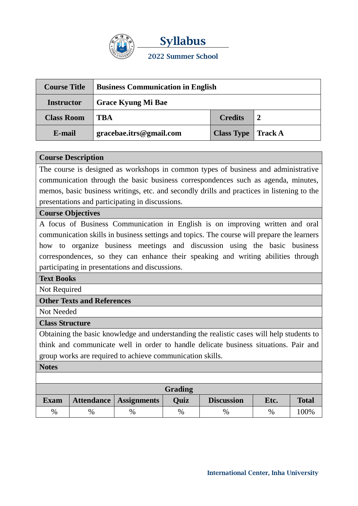

**Syllabus 2022 Summer School**

| <b>Course Title</b> | <b>Business Communication in English</b> |                           |  |  |
|---------------------|------------------------------------------|---------------------------|--|--|
| <b>Instructor</b>   | <b>Grace Kyung Mi Bae</b>                |                           |  |  |
| <b>Class Room</b>   | TRA                                      | <b>Credits</b>            |  |  |
| E-mail              | gracebae.itrs@gmail.com                  | <b>Class Type</b> Track A |  |  |

## **Course Description**

The course is designed as workshops in common types of business and administrative communication through the basic business correspondences such as agenda, minutes, memos, basic business writings, etc. and secondly drills and practices in listening to the presentations and participating in discussions.

## **Course Objectives**

A focus of Business Communication in English is on improving written and oral communication skills in business settings and topics. The course will prepare the learners how to organize business meetings and discussion using the basic business correspondences, so they can enhance their speaking and writing abilities through participating in presentations and discussions.

## **Text Books**

Not Required

## **Other Texts and References**

Not Needed

## **Class Structure**

Obtaining the basic knowledge and understanding the realistic cases will help students to think and communicate well in order to handle delicate business situations. Pair and group works are required to achieve communication skills.

#### **Notes**

| Grading     |      |                          |             |                   |      |              |  |  |
|-------------|------|--------------------------|-------------|-------------------|------|--------------|--|--|
| <b>Exam</b> |      | Attendance   Assignments | <b>Ouiz</b> | <b>Discussion</b> | Etc. | <b>Total</b> |  |  |
| $\%$        | $\%$ | %                        | $\%$        | $\%$              | $\%$ | 100%         |  |  |